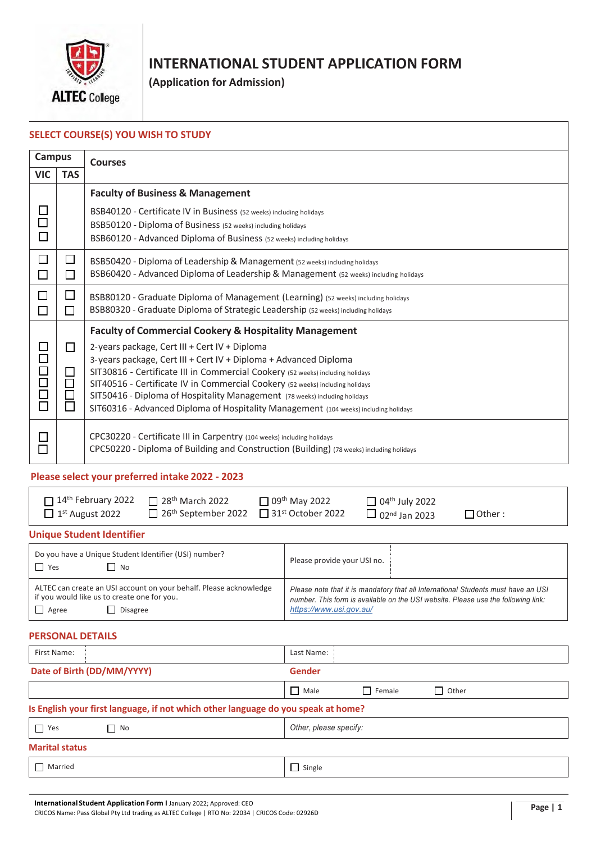

# **INTERNATIONAL STUDENT APPLICATION FORM**

**(Application for Admission)**

#### **SELECT COURSE(S) YOU WISH TO STUDY**

| <b>Campus</b>                         |                                                | <b>Courses</b>                                                                                                                                                                                                                                                                                                                                                                                                                                                                                                                  |
|---------------------------------------|------------------------------------------------|---------------------------------------------------------------------------------------------------------------------------------------------------------------------------------------------------------------------------------------------------------------------------------------------------------------------------------------------------------------------------------------------------------------------------------------------------------------------------------------------------------------------------------|
| <b>VIC</b>                            | <b>TAS</b>                                     |                                                                                                                                                                                                                                                                                                                                                                                                                                                                                                                                 |
| $\Box$<br>П                           |                                                | <b>Faculty of Business &amp; Management</b><br>BSB40120 - Certificate IV in Business (52 weeks) including holidays<br>BSB50120 - Diploma of Business (52 weeks) including holidays<br>BSB60120 - Advanced Diploma of Business (52 weeks) including holidays                                                                                                                                                                                                                                                                     |
| $\Box$<br>$\mathcal{L}_{\mathcal{A}}$ | □<br>П                                         | BSB50420 - Diploma of Leadership & Management (52 weeks) including holidays<br>BSB60420 - Advanced Diploma of Leadership & Management (52 weeks) including holidays                                                                                                                                                                                                                                                                                                                                                             |
| П<br>$\mathcal{L}_{\mathcal{A}}$      | □<br>П                                         | BSB80120 - Graduate Diploma of Management (Learning) (52 weeks) including holidays<br>BSB80320 - Graduate Diploma of Strategic Leadership (52 weeks) including holidays                                                                                                                                                                                                                                                                                                                                                         |
| 70000                                 | $\Box$<br>$\Box$<br>$\Box$<br>$\Box$<br>$\Box$ | <b>Faculty of Commercial Cookery &amp; Hospitality Management</b><br>2-years package, Cert III + Cert IV + Diploma<br>3-years package, Cert III + Cert IV + Diploma + Advanced Diploma<br>SIT30816 - Certificate III in Commercial Cookery (52 weeks) including holidays<br>SIT40516 - Certificate IV in Commercial Cookery (52 weeks) including holidays<br>SIT50416 - Diploma of Hospitality Management (78 weeks) including holidays<br>SIT60316 - Advanced Diploma of Hospitality Management (104 weeks) including holidays |
| $\Box$                                |                                                | CPC30220 - Certificate III in Carpentry (104 weeks) including holidays<br>CPC50220 - Diploma of Building and Construction (Building) (78 weeks) including holidays                                                                                                                                                                                                                                                                                                                                                              |

#### **Please select your preferred intake 2022 - 2023**

| $\Box$ 14 <sup>th</sup> February 2022 $\Box$ 28 <sup>th</sup> March 2022 |                                                                             | $\Box$ 09 <sup>th</sup> May 2022 | $\Box$ 04 <sup>th</sup> July 2022 |               |
|--------------------------------------------------------------------------|-----------------------------------------------------------------------------|----------------------------------|-----------------------------------|---------------|
| $\Box$ 1 <sup>st</sup> August 2022                                       | $\Box$ 26 <sup>th</sup> September 2022 $\Box$ 31 <sup>st</sup> October 2022 |                                  | $\Box$ 02 <sup>nd</sup> Jan 2023  | $\Box$ Other: |

#### **Unique Student Identifier**

| Do you have a Unique Student Identifier (USI) number?<br>$\Box$ Yes<br>$\Box$ No                                                                     | Please provide your USI no.                                                                                                                                                                       |
|------------------------------------------------------------------------------------------------------------------------------------------------------|---------------------------------------------------------------------------------------------------------------------------------------------------------------------------------------------------|
| ALTEC can create an USI account on your behalf. Please acknowledge<br>if you would like us to create one for you.<br>$\Box$ Agree<br><b>Disagree</b> | Please note that it is mandatory that all International Students must have an USI<br>number. This form is available on the USI website. Please use the following link:<br>https://www.usi.gov.au/ |

#### **PERSONAL DETAILS**

| First Name:                                                                       | Last Name:                     |  |  |  |  |
|-----------------------------------------------------------------------------------|--------------------------------|--|--|--|--|
| Date of Birth (DD/MM/YYYY)                                                        | <b>Gender</b>                  |  |  |  |  |
|                                                                                   | $\Box$ Other<br>Male<br>Female |  |  |  |  |
| Is English your first language, if not which other language do you speak at home? |                                |  |  |  |  |
| Yes<br>$\Box$ No                                                                  | Other, please specify:         |  |  |  |  |
| <b>Marital status</b>                                                             |                                |  |  |  |  |
| Married                                                                           | $\Box$ Single                  |  |  |  |  |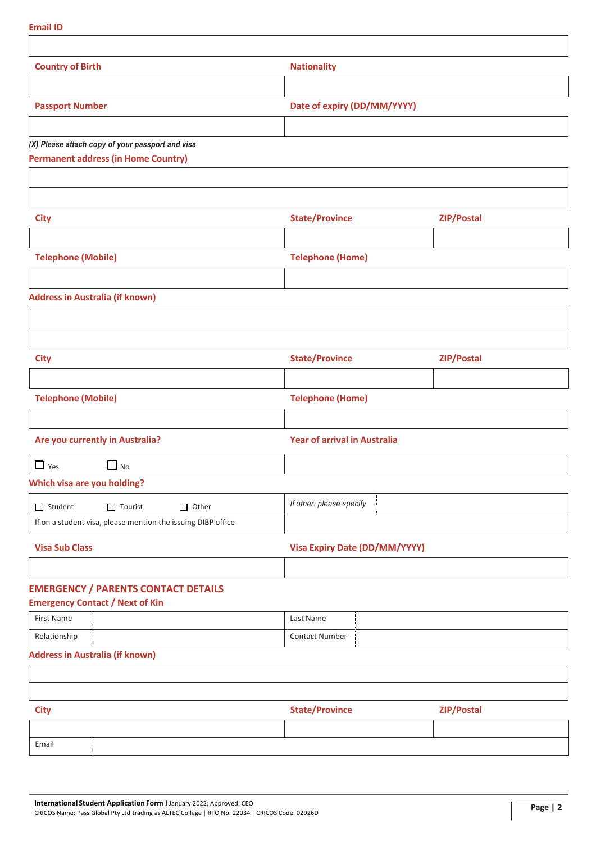| <b>Country of Birth</b>                                      | <b>Nationality</b>                   |            |  |
|--------------------------------------------------------------|--------------------------------------|------------|--|
|                                                              |                                      |            |  |
| <b>Passport Number</b>                                       | Date of expiry (DD/MM/YYYY)          |            |  |
|                                                              |                                      |            |  |
| (X) Please attach copy of your passport and visa             |                                      |            |  |
| <b>Permanent address (in Home Country)</b>                   |                                      |            |  |
|                                                              |                                      |            |  |
| <b>City</b>                                                  | <b>State/Province</b>                | ZIP/Postal |  |
|                                                              |                                      |            |  |
| <b>Telephone (Mobile)</b>                                    | <b>Telephone (Home)</b>              |            |  |
|                                                              |                                      |            |  |
| <b>Address in Australia (if known)</b>                       |                                      |            |  |
|                                                              |                                      |            |  |
|                                                              |                                      |            |  |
| <b>City</b>                                                  | <b>State/Province</b>                | ZIP/Postal |  |
|                                                              |                                      |            |  |
| <b>Telephone (Mobile)</b>                                    | <b>Telephone (Home)</b>              |            |  |
|                                                              |                                      |            |  |
| Are you currently in Australia?                              | <b>Year of arrival in Australia</b>  |            |  |
| $\Box$ No<br>$\Box$ Yes                                      |                                      |            |  |
| <b>Which visa are you holding?</b>                           |                                      |            |  |
| $\Box$ Student<br>$\Box$ Tourist<br>$\Box$ Other             | If other, please specify             |            |  |
| If on a student visa, please mention the issuing DIBP office |                                      |            |  |
|                                                              | <b>Visa Expiry Date (DD/MM/YYYY)</b> |            |  |
| <b>Visa Sub Class</b>                                        |                                      |            |  |
|                                                              |                                      |            |  |
| <b>EMERGENCY / PARENTS CONTACT DETAILS</b>                   |                                      |            |  |
| <b>Emergency Contact / Next of Kin</b>                       |                                      |            |  |
| <b>First Name</b><br>Relationship                            | Last Name<br><b>Contact Number</b>   |            |  |

| <b>City</b> | <b>State/Province</b> | <b>ZIP/Postal</b> |
|-------------|-----------------------|-------------------|
|             |                       |                   |
| Email       |                       |                   |

**Email ID**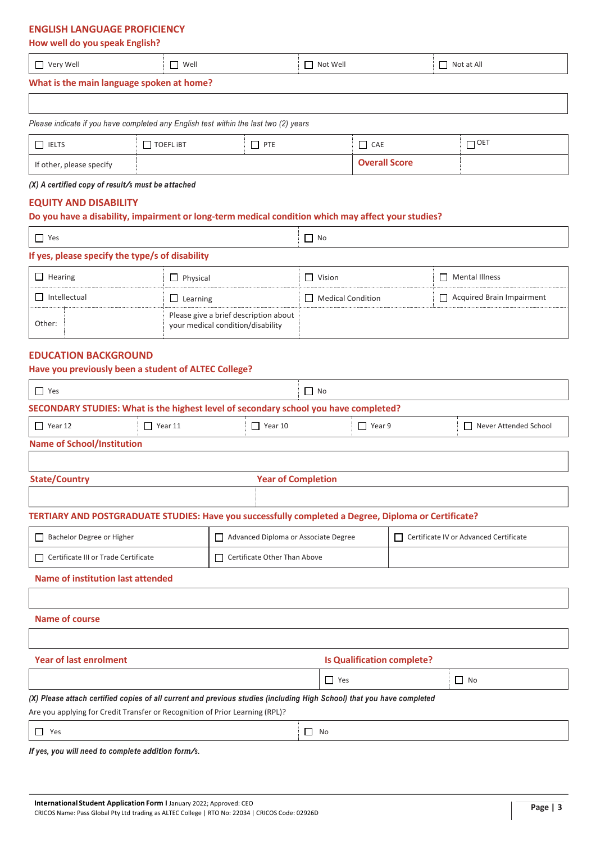#### **ENGLISH LANGUAGE PROFICIENCY**

#### **How well do you speak English?**

| –<br>Very Well<br>$\sim$                                                                                                                                                                                                       | Well | Not Well | Not at All<br>_ |
|--------------------------------------------------------------------------------------------------------------------------------------------------------------------------------------------------------------------------------|------|----------|-----------------|
| and and the second control of the second second and the second second the second second and second the second second and second the second second and second the second second and second the second second and second the sec |      |          |                 |

## **What is the main language spoken at home?**

| Please indicate if you have completed any English test within the last two (2) years |  |  |  |  |  |  |
|--------------------------------------------------------------------------------------|--|--|--|--|--|--|
| $\Box$ OET<br>$\Box$ IELTS<br>$\Box$ TOEFL IBT<br>T PTE<br>$\Box$ CAE                |  |  |  |  |  |  |
| <b>Overall Score</b><br>If other, please specify                                     |  |  |  |  |  |  |

#### *(X) <sup>A</sup> certified copy of result/s must be attached*

#### **EQUITY AND DISABILITY**

#### **Do you have a disability, impairment or long-term medical condition which may affect your studies?**

| $\Box$ Yes                                      |                                                                            | $\Box$ No                |                                  |  |
|-------------------------------------------------|----------------------------------------------------------------------------|--------------------------|----------------------------------|--|
| If yes, please specify the type/s of disability |                                                                            |                          |                                  |  |
| $\Box$ Hearing                                  | $\Box$ Physical                                                            | $\Box$ Vision            | $\Box$ Mental Illness            |  |
| Intellectual                                    | $\Box$ Learning                                                            | $\Box$ Medical Condition | $\Box$ Acquired Brain Impairment |  |
| Other:                                          | Please give a brief description about<br>your medical condition/disability |                          |                                  |  |

### **EDUCATION BACKGROUND**

| Have you previously been a student of ALTEC College?                                                                   |  |                                      |                           |                                        |  |                         |  |
|------------------------------------------------------------------------------------------------------------------------|--|--------------------------------------|---------------------------|----------------------------------------|--|-------------------------|--|
| $\Box$ Yes<br>$\Box$ No                                                                                                |  |                                      |                           |                                        |  |                         |  |
| SECONDARY STUDIES: What is the highest level of secondary school you have completed?                                   |  |                                      |                           |                                        |  |                         |  |
| $\Box$ Year 11<br>$\Box$ Year 12                                                                                       |  |                                      | $\Box$ Year 10            | $\Box$ Year 9                          |  | □ Never Attended School |  |
| <b>Name of School/Institution</b>                                                                                      |  |                                      |                           |                                        |  |                         |  |
|                                                                                                                        |  |                                      |                           |                                        |  |                         |  |
| <b>State/Country</b>                                                                                                   |  |                                      | <b>Year of Completion</b> |                                        |  |                         |  |
|                                                                                                                        |  |                                      |                           |                                        |  |                         |  |
| TERTIARY AND POSTGRADUATE STUDIES: Have you successfully completed a Degree, Diploma or Certificate?                   |  |                                      |                           |                                        |  |                         |  |
| Bachelor Degree or Higher                                                                                              |  | Advanced Diploma or Associate Degree |                           | Certificate IV or Advanced Certificate |  |                         |  |
| Certificate III or Trade Certificate                                                                                   |  | $\Box$ Certificate Other Than Above  |                           |                                        |  |                         |  |
| <b>Name of institution last attended</b>                                                                               |  |                                      |                           |                                        |  |                         |  |
|                                                                                                                        |  |                                      |                           |                                        |  |                         |  |
| <b>Name of course</b>                                                                                                  |  |                                      |                           |                                        |  |                         |  |
|                                                                                                                        |  |                                      |                           |                                        |  |                         |  |
| <b>Year of last enrolment</b>                                                                                          |  |                                      |                           | <b>Is Qualification complete?</b>      |  |                         |  |
|                                                                                                                        |  |                                      |                           | $\Box$ Yes                             |  | $\Box$ No               |  |
| (X) Please attach certified copies of all current and previous studies (including High School) that you have completed |  |                                      |                           |                                        |  |                         |  |
| Are you applying for Credit Transfer or Recognition of Prior Learning (RPL)?                                           |  |                                      |                           |                                        |  |                         |  |
| Yes<br>П                                                                                                               |  |                                      | $\Box$                    | No                                     |  |                         |  |
|                                                                                                                        |  |                                      |                           |                                        |  |                         |  |

*If yes, you will need to complete addition form/s.*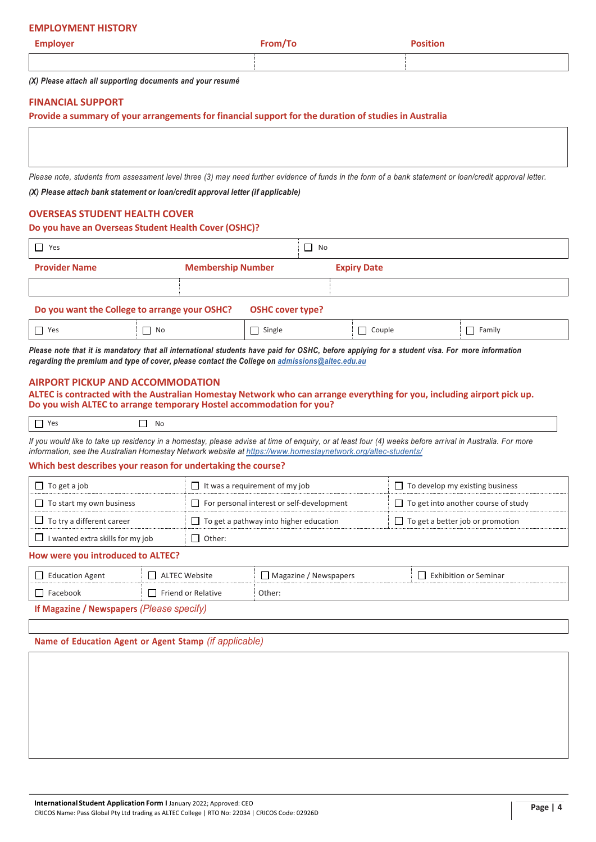#### **EMPLOYMENT HISTORY**

| <b>Employer</b> | − <sup>s</sup> rom/1u<br>$\ldots$<br>__ | <b>Position</b> |
|-----------------|-----------------------------------------|-----------------|
|                 |                                         |                 |

*(X) Please attach all supporting documents and your resumé*

#### **FINANCIAL SUPPORT**

**Provide a summary of your arrangements for financial support for the duration of studies in Australia**

Please note, students from assessment level three (3) may need further evidence of funds in the form of a bank statement or loan/credit approval letter.

*(X) Please attach bank statement or loan/credit approval letter (if applicable)*

#### **OVERSEAS STUDENT HEALTH COVER**

#### **Do you have an Overseas Student Health Cover (OSHC)?**

| Yes                  |                                                                          | No                 |  |
|----------------------|--------------------------------------------------------------------------|--------------------|--|
| <b>Provider Name</b> | <b>Membership Number</b>                                                 | <b>Expiry Date</b> |  |
|                      |                                                                          |                    |  |
|                      | Do you want the College to arrange your OSHC?<br><b>OSHC cover type?</b> |                    |  |

|          | . .   | -- |          |
|----------|-------|----|----------|
| Yes<br>_ | - IVC |    | $\alpha$ |

Please note that it is mandatory that all international students have paid for OSHC, before applying for a student visa. For more information *regarding the premium and type of cover, please contact the College on admissions@altec.edu.au*

#### **AIRPORT PICKUP AND ACCOMMODATION**

#### **ALTEC is contracted with the Australian Homestay Network who can arrange everything for you, including airport pick up. Do you wish ALTEC to arrange temporary Hostel accommodation for you?**

| .<br>__<br>$\sim$ |
|-------------------|
|-------------------|

If you would like to take up residency in a homestay, please advise at time of enguiry, or at least four (4) weeks before arrival in Australia. For more *information, see the Australian Homestay Network website at https://www.homestaynetwork.org/altec-students/*

#### **Which best describes your reason for undertaking the course?**

| $\Box$ To get a job                     | $\Box$ It was a requirement of my job            | $\Box$ To develop my existing business     |
|-----------------------------------------|--------------------------------------------------|--------------------------------------------|
| $\Box$ To start my own business         | $\Box$ For personal interest or self-development | $\Box$ To get into another course of study |
| $\Box$ To try a different career        | $\Box$ To get a pathway into higher education    | $\Box$ To get a better job or promotion    |
| $\Box$ I wanted extra skills for my job | Other:                                           |                                            |

#### **How were you introduced to ALTEC?**

| $\Box$ Education Agent                    | ALTEC Website             | Magazine / Newspapers | $\Box$ Exhibition or Seminar |
|-------------------------------------------|---------------------------|-----------------------|------------------------------|
| $\Box$ Facebook                           | $\Box$ Friend or Relative | Other:                |                              |
| If Magazine / Newspapers (Please specify) |                           |                       |                              |

**Name of Education Agent or Agent Stamp** *(if applicable)*